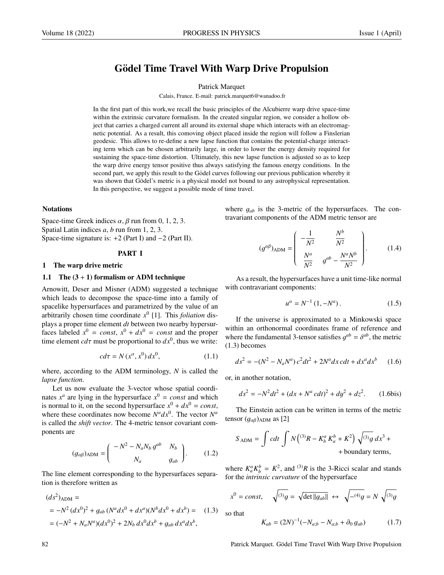# Gödel Time Travel With Warp Drive Propulsion

#### Patrick Marquet

Calais, France. E-mail: patrick.marquet6@wanadoo.fr

In the first part of this work,we recall the basic principles of the Alcubierre warp drive space-time within the extrinsic curvature formalism. In the created singular region, we consider a hollow object that carries a charged current all around its external shape which interacts with an electromagnetic potential. As a result, this comoving object placed inside the region will follow a Finslerian geodesic. This allows to re-define a new lapse function that contains the potential-charge interacting term which can be chosen arbitrarily large, in order to lower the energy density required for sustaining the space-time distortion. Ultimately, this new lapse function is adjusted so as to keep the warp drive energy tensor positive thus always satisfying the famous energy conditions. In the second part, we apply this result to the Gödel curves following our previous publication whereby it was shown that Gödel's metric is a physical model not bound to any astrophysical representation. In this perspective, we suggest a possible mode of time travel.

# **Notations**

Space-time Greek indices  $\alpha$ ,  $\beta$  run from 0, 1, 2, 3. Spatial Latin indices *a*, *b* run from 1, 2, 3. Space-time signature is: +2 (Part I) and −2 (Part II).

# PART I

#### 1 The warp drive metric

#### 1.1 The  $(3 + 1)$  formalism or ADM technique

Arnowitt, Deser and Misner (ADM) suggested a technique which leads to decompose the space-time into a family of spacelike hypersurfaces and parametrized by the value of an arbitrarily chosen time coordinate *x* 0 [1]. This *foliation* displays a proper time element *dt* between two nearby hypersurfaces labeled  $x^0 = const$ ,  $x^0 + dx^0 = const$  and the proper time element  $cd\tau$  must be proportional to  $dx^0$ , thus we write:

$$
cd\tau = N(x^{\alpha}, x^0) dx^0, \qquad (1.1)
$$

where, according to the ADM terminology, *N* is called the *lapse function*.

Let us now evaluate the 3-vector whose spatial coordinates  $x^a$  are lying in the hypersurface  $x^0 = const$  and which is normal to it, on the second hypersurface  $x^0 + dx^0 = const$ , where these coordinates now become  $N^a dx^0$ . The vector  $N^a$ is called the *shift vector*. The 4-metric tensor covariant components are

$$
(g_{\alpha\beta})_{\text{ADM}} = \begin{pmatrix} -N^2 - N_a N_b g^{ab} & N_b \\ N_a & g_{ab} \end{pmatrix} . \tag{1.2}
$$

The line element corresponding to the hypersurfaces separation is therefore written as

$$
(ds2)ADM =
$$
  
= -N<sup>2</sup> (dx<sup>0</sup>)<sup>2</sup> + g<sub>ab</sub> (N<sup>a</sup> dx<sup>0</sup> + dx<sup>a</sup>)(N<sup>b</sup> dx<sup>0</sup> + dx<sup>b</sup>) = (1.3)  
= (-N<sup>2</sup> + N<sub>a</sub>N<sup>a</sup>)(dx<sup>0</sup>)<sup>2</sup> + 2N<sub>b</sub> dx<sup>0</sup> dx<sup>b</sup> + g<sub>ab</sub> dx<sup>a</sup> dx<sup>b</sup>,

where <sup>g</sup>*ab* is the 3-metric of the hypersurfaces. The contravariant components of the ADM metric tensor are

$$
(g^{\alpha\beta})_{\text{ADM}} = \begin{pmatrix} -\frac{1}{N^2} & \frac{N^b}{N^2} \\ \frac{N^a}{N^2} & g^{ab} - \frac{N^a N^b}{N^2} \end{pmatrix} . \tag{1.4}
$$

As a result, the hypersurfaces have a unit time-like normal with contravariant components:

$$
u^{\alpha} = N^{-1} (1, -N^a). \tag{1.5}
$$

If the universe is approximated to a Minkowski space within an orthonormal coordinates frame of reference and where the fundamental 3-tensor satisfies  $g^{ab} = \delta^{ab}$ , the metric (1.3) becomes (1.3) becomes

$$
ds^{2} = -(N^{2} - N_{a}N^{a})c^{2}dt^{2} + 2N^{a}dx\,cdt + dx^{a}dx^{b} \qquad (1.6)
$$

or, in another notation,

$$
ds^{2} = -N^{2}dt^{2} + (dx + N^{a} cdt)^{2} + dy^{2} + dz^{2}.
$$
 (1.6bis)

The Einstein action can be written in terms of the metric tensor  $(g_{\alpha\beta})$ <sub>ADM</sub> as [2]

$$
S_{\text{ADM}} = \int cdt \int N \left( {}^{(3)}R - K_b^a K_a^b + K^2 \right) \sqrt{{}^{(3)}g} \, dx^3 +
$$
+ boundary terms,

where  $K_a^a K_b^b = K^2$ , and <sup>(3)</sup>*R* is the 3-Ricci scalar and stands for the *intrinsic curvature* of the hypersurface

$$
x^{0} = const, \quad \sqrt{^{(3)}g} = \sqrt{\det ||g_{ab}||} \leftrightarrow \sqrt{-^{(4)}g} = N \sqrt{^{(3)}g}
$$

so that

$$
K_{ab} = (2N)^{-1}(-N_{a;b} - N_{a;b} + \partial_0 g_{ab})
$$
 (1.7)

82 **Patrick Marquet. Gödel Time Travel With Warp Drive Propulsion** is not a patrick Marquet. Gödel Time Travel With Warp Drive Propulsion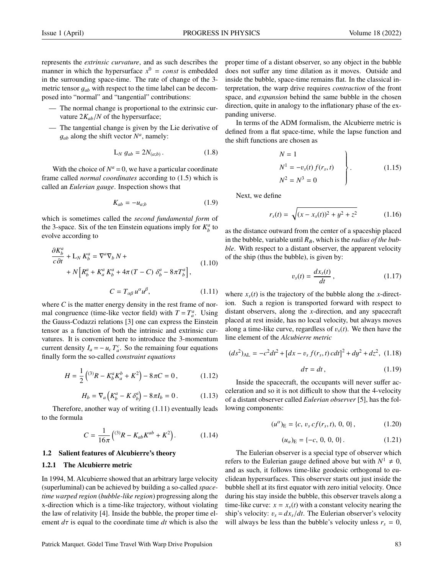represents the *extrinsic curvature*, and as such describes the manner in which the hypersurface  $x^0 = const$  is embedded in the surrounding space-time. The rate of change of the 3 metric tensor  $q_{ab}$  with respect to the time label can be decomposed into "normal" and "tangential" contributions:

- The normal change is proportional to the extrinsic curvature  $2K_{ab}/N$  of the hypersurface;
- The tangential change is given by the Lie derivative of  $g_{ab}$  along the shift vector  $N^a$ , namely:

$$
L_N g_{ab} = 2N_{(a;b)} \,. \tag{1.8}
$$

With the choice of  $N^a = 0$ , we have a particular coordinate frame called *normal coordinates* according to (1.5) which is called an *Eulerian gauge*. Inspection shows that

$$
K_{ab} = -u_{a;b} \tag{1.9}
$$

which is sometimes called the *second fundamental form* of the 3-space. Six of the ten Einstein equations imply for  $K_b^a$  to evolve according to

$$
\frac{\partial K_b^a}{\partial t} + L_N K_b^a = \nabla^a \nabla_b N +
$$
\n
$$
+ N \left[ R_b^a + K_a^a K_b^a + 4\pi (T - C) \delta_b^a - 8\pi T_b^a \right],
$$
\n(1.10)

$$
C = T_{\alpha\beta} u^{\alpha} u^{\beta}, \qquad (1.11)
$$

where *C* is the matter energy density in the rest frame of normal congruence (time-like vector field) with  $T = T_a^a$ . Using the Gauss-Codazzi relations [3] one can express the Einstein tensor as a function of both the intrinsic and extrinsic curvatures. It is convenient here to introduce the 3-momentum current density  $I_a = -u_c T_a^c$ . So the remaining four equations finally form the so-called *constraint equations*

$$
H = \frac{1}{2} \left( {}^{(3)}R - K_b^a K_a^b + K^2 \right) - 8\pi C = 0, \qquad (1.12)
$$

$$
H_b = \nabla_a \left( K_b^a - K \delta_b^a \right) - 8\pi I_b = 0. \tag{1.13}
$$

Therefore, another way of writing (1.11) eventually leads to the formula

$$
C = \frac{1}{16\pi} \left( {}^{(3)}R - K_{ab} K^{ab} + K^2 \right). \tag{1.14}
$$

#### 1.2 Salient features of Alcubierre's theory

#### 1.2.1 The Alcubierre metric

In 1994, M. Alcubierre showed that an arbitrary large velocity (superluminal) can be achieved by building a so-called *spacetime warped region* (*bubble-like region*) progressing along the x-direction which is a time-like trajectory, without violating the law of relativity [4]. Inside the bubble, the proper time element  $d\tau$  is equal to the coordinate time  $dt$  which is also the proper time of a distant observer, so any object in the bubble does not suffer any time dilation as it moves. Outside and inside the bubble, space-time remains flat. In the classical interpretation, the warp drive requires *contraction* of the front space, and *expansion* behind the same bubble in the chosen direction, quite in analogy to the inflationary phase of the expanding universe.

In terms of the ADM formalism, the Alcubierre metric is defined from a flat space-time, while the lapse function and the shift functions are chosen as

$$
N = 1
$$
  
\n
$$
N^{1} = -v_{s}(t) f(r_{s}, t)
$$
  
\n
$$
N^{2} = N^{3} = 0
$$
\n(1.15)

Next, we define

$$
r_s(t) = \sqrt{(x - x_s(t))^2 + y^2 + z^2}
$$
 (1.16)

as the distance outward from the center of a spaceship placed in the bubble, variable until  $R_B$ , which is the *radius of the bubble*. With respect to a distant observer, the apparent velocity of the ship (thus the bubble), is given by:

$$
v_s(t) = \frac{dx_s(t)}{dt},\qquad(1.17)
$$

where  $x<sub>s</sub>(t)$  is the trajectory of the bubble along the *x*-direction. Such a region is transported forward with respect to distant observers, along the *x*-direction, and any spacecraft placed at rest inside, has no local velocity, but always moves along a time-like curve, regardless of  $v<sub>s</sub>(t)$ . We then have the line element of the *Alcubierre metric*

$$
(ds2)AL = -c2dt2 + [dx - vs f(rs, t) cdt]2 + dy2 + dz2, (1.18)
$$

$$
d\tau = dt, \qquad (1.19)
$$

Inside the spacecraft, the occupants will never suffer acceleration and so it is not difficult to show that the 4-velocity of a distant observer called *Eulerian observer* [5], has the following components:

$$
(u^{\alpha})_{\rm E} = \{c, v_s cf(r_s, t), 0, 0\},\tag{1.20}
$$

$$
(u_{\alpha})_{\rm E} = \{-c, 0, 0, 0\}.
$$
 (1.21)

The Eulerian observer is a special type of observer which refers to the Eulerian gauge defined above but with  $N^1 \neq 0$ , and as such, it follows time-like geodesic orthogonal to euclidean hypersurfaces. This observer starts out just inside the bubble shell at its first equator with zero initial velocity. Once during his stay inside the bubble, this observer travels along a time-like curve:  $x = x_s(t)$  with a constant velocity nearing the ship's velocity:  $v_s = dx_s/dt$ . The Eulerian observer's velocity will always be less than the bubble's velocity unless  $r_s = 0$ ,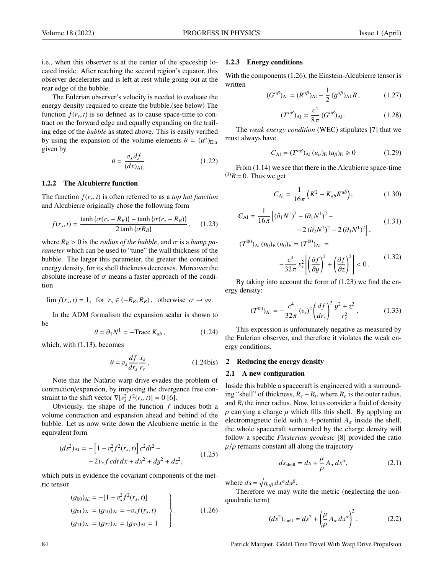i.e., when this observer is at the center of the spaceship located inside. After reaching the second region's equator, this observer decelerates and is left at rest while going out at the rear edge of the bubble.

The Eulerian observer's velocity is needed to evaluate the energy density required to create the bubble.(see below) The function  $f(r_s, t)$  is so defined as to cause space-time to contract on the forward edge and equally expanding on the trailtract on the forward edge and equally expanding on the trailing edge of the *bubble* as stated above. This is easily verified by using the expansion of the volume elements  $\theta = (u^{\alpha})_{E;\alpha}$ <br>given by given by

$$
\theta = \frac{v_s \, df}{(dx)_{\text{AL}}} \,. \tag{1.22}
$$

# 1.2.2 The Alcubierre function

The function  $f(r_s, t)$  is often referred to as a *top hat function*<br>and Alcubierre originally chose the following form and Alcubierre originally chose the following form

$$
f(r_s, t) = \frac{\tanh\left\{\sigma(r_s + R_B)\right\} - \tanh\left\{\sigma(r_s - R_B)\right\}}{2\tanh\left\{\sigma R_B\right\}}, \quad (1.23)
$$

where  $R_B > 0$  is the *radius of the bubble*, and  $\sigma$  is a *bump parameter* which can be used to "tune" the wall thickness of the bubble. The larger this parameter, the greater the contained energy density, for its shell thickness decreases. Moreover the absolute increase of  $\sigma$  means a faster approach of the condition

$$
\lim f(r_s, t) = 1, \text{ for } r_s \in (-R_B, R_B), \text{ otherwise } \sigma \to \infty.
$$

In the ADM formalism the expansion scalar is shown to be

$$
\theta = \partial_1 N^1 = -\text{Trace } K_{ab} \,, \tag{1.24}
$$

which, with (1.13), becomes

$$
\theta = v_s \frac{df}{dr_s} \frac{x_s}{r_s} \,. \tag{1.24bis}
$$

Note that the Natàrio warp drive evades the problem of contraction/expansion, by imposing the divergence free constraint to the shift vector  $\nabla [v_s^2 f^2(r_s, t)] = 0$  [6].<br>Obviously the shape of the function f in

Obviously, the shape of the function *f* induces both a volume contraction and expansion ahead and behind of the bubble. Let us now write down the Alcubierre metric in the equivalent form

$$
(ds2)Al = -[1 - vs2 f2 (rs, t)] c2 dt2 -- 2 vs f c dt dx + dx2 + dy2 + dz2,
$$
 (1.25)

which puts in evidence the covariant components of the metric tensor

$$
(g_{00})_{\text{Al}} = -[1 - v_s^2 f^2(r_s, t)]
$$
  
\n
$$
(g_{01})_{\text{Al}} = (g_{10})_{\text{Al}} = -v_s f(r_s, t)
$$
  
\n
$$
(g_{11})_{\text{Al}} = (g_{22})_{\text{Al}} = (g_{33})_{\text{Al}} = 1
$$
\n(1.26)

### 1.2.3 Energy conditions

With the components (1.26), the Einstein-Alcubierre tensor is written

$$
(G^{\alpha\beta})_{\text{Al}} = (R^{\alpha\beta})_{\text{Al}} - \frac{1}{2} (g^{\alpha\beta})_{\text{Al}} R, \qquad (1.27)
$$

$$
(T^{\alpha\beta})_{\text{Al}} = \frac{c^4}{8\pi} (G^{\alpha\beta})_{\text{Al}}.
$$
 (1.28)

The *weak energy condition* (WEC) stipulates [7] that we must always have

$$
C_{\text{Al}} = (T^{\alpha\beta})_{\text{Al}} (u_{\alpha})_{\text{E}} (u_{\beta})_{\text{E}} \ge 0 \tag{1.29}
$$

From (1.14) we see that there in the Alcubierre space-time  $^{(3)}R = 0$ . Thus we get

$$
C_{\rm Al} = \frac{1}{16\pi} \left( K^2 - K_{ab} K^{ab} \right),\tag{1.30}
$$

$$
C_{\text{Al}} = \frac{1}{16\pi} \left[ (\partial_1 N^1)^2 - (\partial_1 N^1)^2 - 2(\partial_2 N^1)^2 - 2(\partial_3 N^1)^2 \right],
$$
 (1.31)

$$
(T^{00})_{\text{Al}} (u_0)_{\text{E}} (u_0)_{\text{E}} = (T^{00})_{\text{Al}} = -\frac{c^4}{32\pi} v_s^2 \left[ \left( \frac{\partial f}{\partial y} \right)^2 + \left( \frac{\partial f}{\partial z} \right)^2 \right] < 0.
$$
 (1.32)

By taking into account the form of (1.23) we find the energy density:

$$
(T^{00})_{\text{Al}} = -\frac{c^4}{32\pi} (v_s)^2 \left(\frac{df}{dr_s}\right)^2 \frac{y^2 + z^2}{r_s^2} \,. \tag{1.33}
$$

This expression is unfortunately negative as measured by the Eulerian observer, and therefore it violates the weak energy conditions.

#### 2 Reducing the energy density

#### 2.1 A new configuration

Inside this bubble a spacecraft is engineered with a surrounding "shell" of thickness,  $R_e - R_i$ , where  $R_e$  is the outer radius, and  $R_i$  the inner radius. Now, let us consider a fluid of density  $\rho$  carrying a charge  $\mu$  which fills this shell. By applying an electromagnetic field with a 4-potential  $A_\alpha$  inside the shell, the whole spacecraft surrounded by the charge density will follow a specific *Finslerian geodesic* [8] provided the ratio  $\mu/\rho$  remains constant all along the trajectory

$$
ds_{\text{shell}} = ds + \frac{\mu}{\rho} A_{\alpha} dx^{\alpha}, \qquad (2.1)
$$

where  $ds = \sqrt{\eta_{\alpha\beta} dx^{\alpha} dx^{\beta}}$ <br>Therefore we may w

Therefore we may write the metric (neglecting the nonquadratic term)

$$
(ds2)shell = ds2 + \left(\frac{\mu}{\rho} A_{\alpha} dx^{\alpha}\right)^{2}.
$$
 (2.2)

84 **Patrick Marquet. Gödel Time Travel With Warp Drive Propulsion** is not provided to provide the Propulsion in P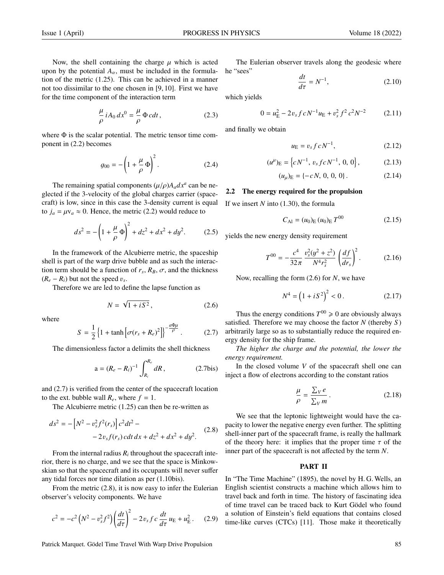Now, the shell containing the charge  $\mu$  which is acted upon by the potential  $A_{\alpha}$ , must be included in the formulation of the metric (1.25). This can be achieved in a manner not too dissimilar to the one chosen in [9, 10]. First we have for the time component of the interaction term

$$
\frac{\mu}{\rho} iA_0 dx^0 = \frac{\mu}{\rho} \Phi c dt, \qquad (2.3)
$$

where  $\Phi$  is the scalar potential. The metric tensor time component in (2.2) becomes

$$
g_{00} = -\left(1 + \frac{\mu}{\rho} \Phi\right)^2.
$$
 (2.4)

The remaining spatial components  $(\mu/\rho)A_a dx^a$  can be ne-<br>ted if the 3-velocity of the global charges carrier (spaceglected if the 3-velocity of the global charges carrier (spacecraft) is low, since in this case the 3-density current is equal to  $j_a = \mu v_a \approx 0$ . Hence, the metric (2.2) would reduce to

$$
ds^{2} = -\left(1 + \frac{\mu}{\rho}\Phi\right)^{2} + dz^{2} + dx^{2} + dy^{2}.
$$
 (2.5)

In the framework of the Alcubierre metric, the spaceship shell is part of the warp drive bubble and as such the interaction term should be a function of  $r_s$ ,  $R_B$ ,  $\sigma$ , and the thickness  $(R - R)$  but not the speed *v*  $(R_e - R_i)$  but not the speed  $v_s$ .<br>Therefore we are led to de

Therefore we are led to define the lapse function as

$$
N = \sqrt{1 + iS^2},\tag{2.6}
$$

where

$$
S = \frac{1}{2} \left\{ 1 + \tanh \left[ \sigma (r_s + R_e)^2 \right] \right\}^{-\frac{a\Phi\mu}{\rho}}.
$$
 (2.7)

The dimensionless factor a delimits the shell thickness

$$
a = (R_e - R_i)^{-1} \int_{R_i}^{R_e} dR, \qquad (2.7 \text{bis})
$$

and (2.7) is verified from the center of the spacecraft location to the ext. bubble wall  $R_e$ , where  $f = 1$ .

The Alcubierre metric (1.25) can then be re-written as

$$
ds^{2} = -[N^{2} - v_{s}^{2}f^{2}(r_{s})]c^{2}dt^{2} -
$$
  
- 2v<sub>s</sub>f(r<sub>s</sub>) cdt dx + dz<sup>2</sup> + dx<sup>2</sup> + dy<sup>2</sup>. (2.8)

From the internal radius  $R_i$  throughout the spacecraft interior, there is no charge, and we see that the space is Minkowskian so that the spacecraft and its occupants will never suffer any tidal forces nor time dilation as per (1.10bis).

From the metric (2.8), it is now easy to infer the Eulerian observer's velocity components. We have

$$
c^{2} = -c^{2} \left(N^{2} - v_{s}^{2} f^{2}\right) \left(\frac{dt}{d\tau}\right)^{2} - 2v_{s} f c \frac{dt}{d\tau} u_{E} + u_{E}^{2}. \tag{2.9}
$$

The Eulerian observer travels along the geodesic where he "sees"

$$
\frac{dt}{d\tau} = N^{-1},\tag{2.10}
$$

which yields

$$
0 = u_{\rm E}^2 - 2v_s f c N^{-1} u_{\rm E} + v_s^2 f^2 c^2 N^{-2}
$$
 (2.11)

and finally we obtain

$$
u_{\rm E} = v_s f c N^{-1},\tag{2.12}
$$

$$
(u^{\mu})_{\mathcal{E}} = \left\{ c \, N^{-1}, \, v_s \, f \, c \, N^{-1}, \, 0, \, 0 \right\},\tag{2.13}
$$

$$
(u_{\mu})_{\text{E}} = \{-cN, 0, 0, 0\}.
$$
 (2.14)

# 2.2 The energy required for the propulsion

If we insert *N* into (1.30), the formula

$$
C_{\text{Al}} = (u_0)_{\text{E}} (u_0)_{\text{E}} T^{00} \tag{2.15}
$$

yields the new energy density requirement

$$
T^{00} = -\frac{c^4}{32\pi} \frac{v_s^2 (y^2 + z^2)}{N^4 r_s^2} \left(\frac{df}{dr_s}\right)^2.
$$
 (2.16)

Now, recalling the form (2.6) for *N*, we have

$$
N^4 = \left(1 + iS^2\right)^2 < 0. \tag{2.17}
$$

Thus the energy conditions  $T^{00} \ge 0$  are obviously always satisfied. Therefore we may choose the factor *N* (thereby *S* ) arbitrarily large so as to substantially reduce the required energy density for the ship frame.

*The higher the charge and the potential, the lower the energy requirement.*

In the closed volume *V* of the spacecraft shell one can inject a flow of electrons according to the constant ratios

$$
\frac{\mu}{\rho} = \frac{\sum_{V} e}{\sum_{V} m}.
$$
\n(2.18)

We see that the leptonic lightweight would have the capacity to lower the negative energy even further. The splitting shell-inner part of the spacecraft frame, is really the hallmark of the theory here: it implies that the proper time  $\tau$  of the inner part of the spacecraft is not affected by the term *N*.

# PART II

In "The Time Machine" (1895), the novel by H. G. Wells, an English scientist constructs a machine which allows him to travel back and forth in time. The history of fascinating idea of time travel can be traced back to Kurt Gödel who found a solution of Einstein's field equations that contains closed time-like curves (CTCs) [11]. Those make it theoretically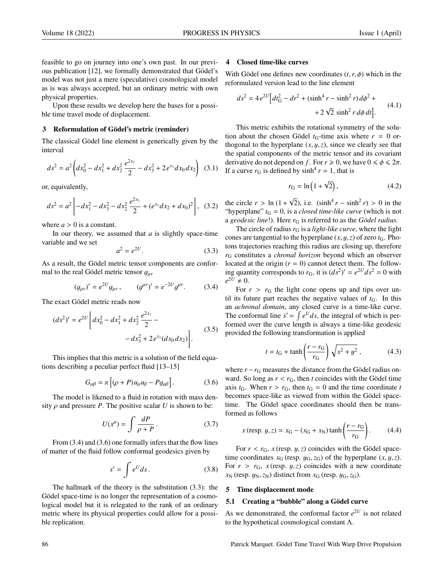feasible to go on journey into one's own past. In our previous publication [12], we formally demonstrated that Gödel's model was not just a mere (speculative) cosmological model as is was always accepted, but an ordinary metric with own physical properties.

Upon these results we develop here the bases for a possible time travel mode of displacement.

# 3 Reformulation of Gödel's metric (reminder)

The classical Gödel line element is generically given by the interval

$$
ds^{2} = a^{2} \left( dx_{0}^{2} - dx_{1}^{2} + dx_{2}^{2} \frac{e^{2x_{1}}}{2} - dx_{3}^{2} + 2 e^{x_{1}} dx_{0} dx_{2} \right)
$$
 (3.1)

or, equivalently,

$$
ds^{2} = a^{2} \left[ -dx_{1}^{2} - dx_{3}^{2} - dx_{2}^{2} \frac{e^{2x_{1}}}{2} + (e^{x_{1}} dx_{2} + dx_{0})^{2} \right], \quad (3.2)
$$

where  $a > 0$  is a constant.

In our theory, we assumed that *a* is slightly space-time variable and we set

$$
a^2 = e^{2U}.\tag{3.3}
$$

As a result, the Gödel metric tensor components are conformal to the real Gödel metric tensor  $g_{\mu\nu}$ 

$$
(g_{\mu\nu})' = e^{2U} g_{\mu\nu}, \qquad (g^{\mu\nu})' = e^{-2U} g^{\mu\nu}.
$$
 (3.4)

The exact Gödel metric reads now

$$
(ds^2)' = e^{2U} \left[ dx_0^2 - dx_1^2 + dx_2^2 \frac{e^{2x_1}}{2} - dx_3^2 + 2e^{x_1} (dx_0 dx_2) \right].
$$
 (3.5)

This implies that this metric is a solution of the field equations describing a peculiar perfect fluid [13–15]

$$
G_{\mu\beta} = \varkappa \left[ (\rho + P) u_{\mu} u_{\beta} - P g_{\mu\beta} \right]. \tag{3.6}
$$

The model is likened to a fluid in rotation with mass density  $\rho$  and pressure *P*. The positive scalar *U* is shown to be:

$$
U(x^{\mu}) = \int \frac{dP}{\rho + P} \,. \tag{3.7}
$$

From (3.4) and (3.6) one formally infers that the flow lines of matter of the fluid follow conformal geodesics given by

$$
s' = \int e^U ds. \tag{3.8}
$$

The hallmark of the theory is the substitution (3.3): the Gödel space-time is no longer the representation of a cosmological model but it is relegated to the rank of an ordinary metric where its physical properties could allow for a possible replication.

#### 4 Closed time-like curves

With Gödel one defines new coordinates  $(t, r, \phi)$  which in the reformulated version lead to the line element

$$
ds^{2} = 4 e^{2U} \Big[ dt_{G}^{2} - dr^{2} + (\sinh^{4} r - \sinh^{2} r) d\phi^{2} +
$$
  
+ 2 \sqrt{2} \sinh^{2} r d\phi dt \Big]. \t(4.1)

This metric exhibits the rotational symmetry of the solution about the chosen Gödel  $t_G$ -time axis where  $r = 0$  orthogonal to the hyperplane  $(x, y, z)$ , since we clearly see that the spatial components of the metric tensor and its covariant derivative do not depend on *f*. For  $r \ge 0$ , we have  $0 \le \phi \le 2\pi$ . If a curve  $r<sub>G</sub>$  is defined by  $sinh<sup>4</sup> r = 1$ , that is

$$
r_{\rm G} = \ln\left(1 + \sqrt{2}\right),\tag{4.2}
$$

the circle  $r > \ln(1 +$ <br>"hyperplane"  $t_c = 0$  $\sqrt{2}$ ), i.e.  $(\sinh^4 r - \sinh^2 r) > 0$  in the "hyperplane"  $t_G = 0$ , is a *closed time-like curve* (which is not a *geodesic line*!). Here  $r_G$  is referred to as the *Gödel radius*.

The circle of radius  $r<sub>G</sub>$  is a *light-like curve*, where the light cones are tangential to the hyperplane  $(x, y, z)$  of zero  $t<sub>G</sub>$ . Photons trajectories reaching this radius are closing up, therefore *r*<sup>G</sup> constitutes a *chronal horizon* beyond which an observer located at the origin  $(r = 0)$  cannot detect them. The following quantity corresponds to  $r_G$ , it is  $(ds^2)' = e^{2U} ds^2 = 0$  with  $e^{2\bar{U}} \neq 0.$ 

For  $r > r_G$  the light cone opens up and tips over until its future part reaches the negative values of  $t<sub>G</sub>$ . In this an *achronal domain*, any closed curve is a time-like curve. The conformal line  $s' = \int e^U ds$ , the integral of which is performed over the curve length is always a time-like geodesic provided the following transformation is applied

$$
t = t_G + \tanh\left(\frac{r - r_G}{r_G}\right)\sqrt{x^2 + y^2}
$$
, (4.3)

where  $r - r<sub>G</sub>$  measures the distance from the Gödel radius onward. So long as  $r < r_G$ , then *t* coincides with the Gödel time axis  $t_G$ . When  $r > r_G$ , then  $t_G = 0$  and the time coordinate  $t$ becomes space-like as viewed from within the Gödel spacetime. The Gödel space coordinates should then be transformed as follows

$$
x(\text{resp. } y, z) = x_{G} - (x_{G} + x_{N}) \tanh\left(\frac{r - r_{G}}{r_{G}}\right).
$$
 (4.4)

For  $r < r_G$ ,  $x$  (resp.  $y$ ,  $z$ ) coincides with the Gödel spacetime coordinates  $x_G$  (resp.  $y_G$ ,  $z_G$ ) of the hyperplane  $(x, y, z)$ . For  $r > r_G$ ,  $x$  (resp.  $y$ ,  $z$ ) coincides with a new coordinate  $x_N$  (resp.  $y_N$ ,  $z_N$ ) distinct from  $x_G$  (resp.  $y_G$ ,  $z_G$ ).

### 5 Time displacement mode

# 5.1 Creating a "bubble" along a Gödel curve

As we demonstrated, the conformal factor  $e^{2U}$  is not related to the hypothetical cosmological constant Λ.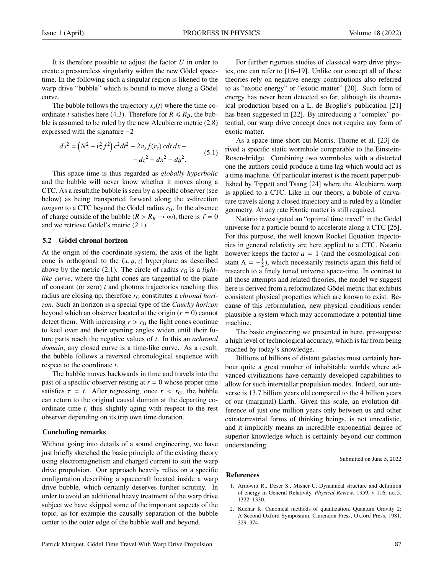It is therefore possible to adjust the factor *U* in order to create a pressureless singularity within the new Gödel spacetime. In the following such a singular region is likened to the warp drive "bubble" which is bound to move along a Gödel curve.

The bubble follows the trajectory  $x<sub>s</sub>(t)$  where the time coordinate *t* satisfies here (4.3). Therefore for  $R \le R_B$ , the bubble is assumed to be ruled by the new Alcubierre metric (2.8) expressed with the signature −2

$$
ds^{2} = (N^{2} - v_{s}^{2} f^{2}) c^{2} dt^{2} - 2v_{s} f(r_{s}) c dt dx - d z^{2} - d x^{2} - d y^{2}.
$$
 (5.1)

This space-time is thus regarded as *globally hyperbolic* and the bubble will never know whether it moves along a CTC. As a result,the bubble is seen by a specific observer (see below) as being transported forward along the *x*-direction *tangent* to a CTC beyond the Gödel radius  $r<sub>G</sub>$ . In the absence of charge outside of the bubble ( $R > R_B \rightarrow \infty$ ), there is  $f = 0$ and we retrieve Gödel's metric  $(2.1)$ .

# 5.2 Gödel chronal horizon

At the origin of the coordinate system, the axis of the light cone is orthogonal to the (*x*, y,*z*) hyperplane as described above by the metric  $(2.1)$ . The circle of radius  $r<sub>G</sub>$  is a *lightlike curve*, where the light cones are tangential to the plane of constant (or zero) *t* and photons trajectories reaching this radius are closing up, therefore  $r<sub>G</sub>$  constitutes a *chronal horizon*. Such an horizon is a special type of the *Cauchy horizon* beyond which an observer located at the origin (*r* = 0) cannot detect them. With increasing  $r > r<sub>G</sub>$  the light cones continue to keel over and their opening angles widen until their future parts reach the negative values of *t*. In this an *achronal domain*, any closed curve is a time-like curve. As a result, the bubble follows a reversed chronological sequence with respect to the coordinate *t*.

The bubble moves backwards in time and travels into the past of a specific observer resting at  $r = 0$  whose proper time satisfies  $\tau = t$ . After regressing, once  $r < r_G$ , the bubble can return to the original causal domain at the departing coordinate time *t*, thus slightly aging with respect to the rest observer depending on its trip own time duration.

#### Concluding remarks

Without going into details of a sound engineering, we have just briefly sketched the basic principle of the existing theory using electromagnetism and charged current to suit the warp drive propulsion. Our approach heavily relies on a specific configuration describing a spacecraft located inside a warp drive bubble, which certainly deserves further scrutiny. In order to avoid an additional heavy treatment of the warp drive subject we have skipped some of the important aspects of the topic, as for example the causally separation of the bubble center to the outer edge of the bubble wall and beyond.

For further rigorous studies of classical warp drive physics, one can refer to [16–19]. Unlike our concept all of these theories rely on negative energy contributions also referred to as "exotic energy" or "exotic matter" [20]. Such form of energy has never been detected so far, although its theoretical production based on a L. de Broglie's publication [21] has been suggested in [22]. By introducing a "complex" potential, our warp drive concept does not require any form of exotic matter.

As a space-time short-cut Morris, Thorne et al. [23] derived a specific static wormhole comparable to the Einstein-Rosen-bridge. Combining two wormholes with a distorted one the authors could produce a time lag which would act as a time machine. Of particular interest is the recent paper published by Tippett and Tsang [24] where the Alcubierre warp is applied to a CTC. Like in our theory, a bubble of curvature travels along a closed trajectory and is ruled by a Rindler geometry. At any rate Exotic matter is still required.

Natàrio investigated an "optimal time travel" in the Gödel universe for a particle bound to accelerate along a CTC [25]. For this purpose, the well known Rocket Equation trajectories in general relativity are here applied to a CTC. Natario ` however keeps the factor  $a = 1$  (and the cosmological constant  $\Lambda = -\frac{1}{2}$ ), which necessarily restricts again this field of research to a finely tuned universe space-time. In contrast to all those attempts and related theories, the model we suggest here is derived from a reformulated Gödel metric that exhibits consistent physical properties which are known to exist. Because of this reformulation, new physical conditions render plausible a system which may accommodate a potential time machine.

The basic engineering we presented in here, pre-suppose a high level of technological accuracy, which is far from being reached by today's knowledge.

Billions of billions of distant galaxies must certainly harbour quite a great number of inhabitable worlds where advanced civilizations have certainly developed capabilities to allow for such interstellar propulsion modes. Indeed, our universe is 13.7 billion years old compared to the 4 billion years of our (marginal) Earth. Given this scale, an evolution difference of just one million years only between us and other extraterrestrial forms of thinking beings, is not unrealistic, and it implicitly means an incredible exponential degree of superior knowledge which is certainly beyond our common understanding.

Submitted on June 5, 2022

#### References

- 1. Arnowitt R., Deser S., Misner C. Dynamical structure and definition of energy in General Relativity. *Physical Review*, 1959, v. 116, no. 5, 1322–1330.
- 2. Kuchar K. Canonical methods of quantization. Quantum Gravity 2: A Second Oxford Symposium. Clarendon Press, Oxford Press, 1981, 329–374.